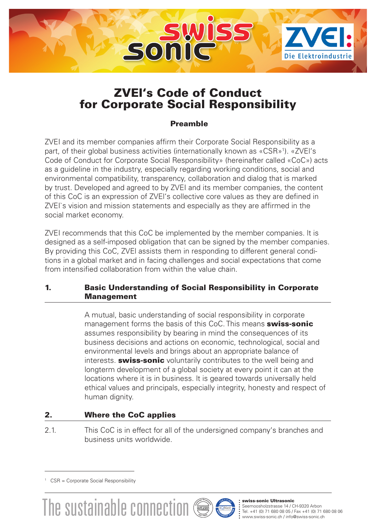

# ZVEl's Code of Conduct for Corporate Social Responsibility

# Preamble

ZVEI and its member companies affirm their Corporate Social Responsibility as a part, of their global business activities (internationally known as «CSR»<sup>1</sup>). «ZVEI's Code of Conduct for Corporate Social Responsibility» (hereinafter called «CoC») acts as a guideline in the industry, especially regarding working conditions, social and environmental compatibility, transparency, collaboration and dialog that is marked by trust. Developed and agreed to by ZVEI and its member companies, the content of this CoC is an expression of ZVEl's collective core values as they are defined in ZVEI`s vision and mission statements and especially as they are affirmed in the social market economy.

ZVEI recommends that this CoC be implemented by the member companies. lt is designed as a self-imposed obligation that can be signed by the member companies. By providing this CoC, ZVEl assists them in responding to different general conditions in a global market and in facing challenges and social expectations that come from intensified collaboration from within the value chain.

# 1. Basic Understanding of Social Responsibility in Corporate Management

A mutual, basic understanding of social responsibility in corporate management forms the basis of this CoC. This means **swiss-sonic** assumes responsibility by bearing in mind the consequences of its business decisions and actions on economic, technological, social and environmental levels and brings about an appropriate balance of interests. **swiss-sonic** voluntarily contributes to the well being and longterm development of a global society at every point it can at the locations where it is in business. lt is geared towards universally held ethical values and principals, especially integrity, honesty and respect of human dignity.

# 2. Where the CoC applies

2.1. This CoC is in effect for all of the undersigned company's branches and business units worldwide.



<sup>&</sup>lt;sup>1</sup> CSR = Corporate Social Responsibility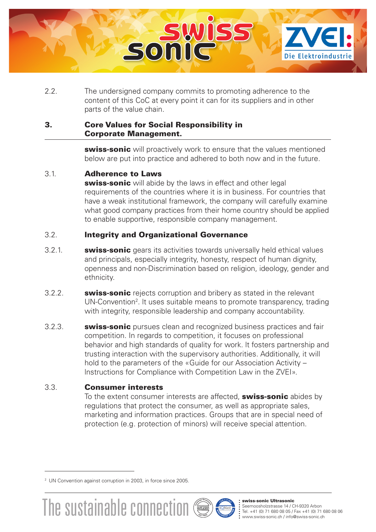

2.2. The undersigned company commits to promoting adherence to the content of this CoC at every point it can for its suppliers and in other parts of the value chain.

#### 3. Core Values for Social Responsibility in Corporate Management.

swiss-sonic will proactively work to ensure that the values mentioned below are put into practice and adhered to both now and in the future.

### 3.1. Adherence to Laws

swiss-sonic will abide by the laws in effect and other legal requirements of the countries where it is in business. For countries that have a weak institutional framework, the company will carefully examine what good company practices from their home country should be applied to enable supportive, responsible company management.

# 3.2. lntegrity and Organizational Governance

- 3.2.1. **swiss-sonic** gears its activities towards universally held ethical values and principals, especially integrity, honesty, respect of human dignity, openness and non-Discrimination based on religion, ideology, gender and ethnicity.
- 3.2.2. **swiss-sonic** rejects corruption and bribery as stated in the relevant UN-Convention<sup>2</sup>. It uses suitable means to promote transparency, trading with integrity, responsible leadership and company accountability.
- 3.2.3. **swiss-sonic** pursues clean and recognized business practices and fair competition. In regards to competition, it focuses on professional behavior and high standards of quality for work. lt fosters partnership and trusting interaction with the supervisory authorities. Additionally, it will hold to the parameters of the «Guide for our Association Activity – lnstructions for Compliance with Competition Law in the ZVEI».

#### 3.3. Consumer interests

To the extent consumer interests are affected, **swiss-sonic** abides by regulations that protect the consumer, as well as appropriate sales, marketing and information practices. Groups that are in special need of protection (e.g. protection of minors) will receive special attention.



#### swiss-sonic Ultrasonic

Seemoosholzstrasse 14 / CH-9320 Arbon<br>Tel. +41 (0) 71 680 08 05 / Fax +41 (0) 71 680 08 06

<sup>2</sup> UN Convention against corruption in 2003, in force since 2005.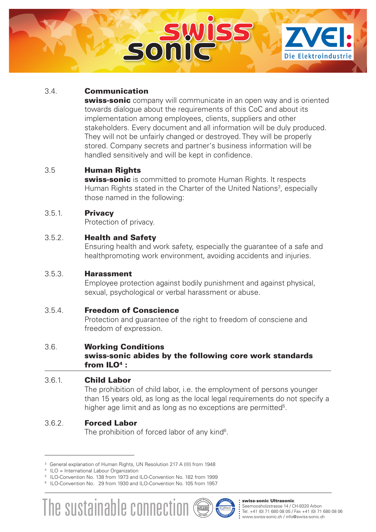

## 3.4. Communication

swiss-sonic company will communicate in an open way and is oriented towards dialogue about the requirements of this CoC and about its implementation among employees, clients, suppliers and other stakeholders. Every document and all information will be duly produced. They will not be unfairly changed or destroyed. They will be properly stored. Company secrets and partner's business information will be handled sensitively and will be kept in confidence.

#### 3.5 Human Rights

swiss-sonic is committed to promote Human Rights. It respects Human Rights stated in the Charter of the United Nations<sup>3</sup>, especially those named in the following:

### 3.5.1. Privacy

Protection of privacy.

### 3.5.2. Health and Safety

Ensuring health and work safety, especially the guarantee of a safe and healthpromoting work environment, avoiding accidents and injuries.

#### 3.5.3. Harassment

Employee protection against bodily punishment and against physical, sexual, psychological or verbal harassment or abuse.

#### 3.5.4. Freedom of Conscience

Protection and guarantee of the right to freedom of consciene and freedom of expression.

#### 3.6. Working Conditions

#### swiss-sonic abides by the following core work standards from  $ILO<sup>4</sup>$ :

# 3.6.1. Child Labor

The prohibition of child labor, i.e. the employment of persons younger than 15 years old, as long as the local legal requirements do not specify a higher age limit and as long as no exceptions are permitted<sup>5</sup>.

# 3.6.2. Forced Labor

The prohibition of forced labor of any kind<sup>6</sup>.

<sup>6</sup> ILO-Convention No. 29 from 1930 and ILO-Convention No. 105 from 1957



#### swiss-sonic Ultrasonic

Seemoosholzstrasse 14 / CH-9320 Arbon<br>Tel. +41 (0) 71 680 08 05 / Fax +41 (0) 71 680 08 06

<sup>&</sup>lt;sup>3</sup> General explanation of Human Rights, UN Resolution 217 A (III) from 1948<br><sup>4</sup> ILO = International Labour Organization

<sup>&</sup>lt;sup>5</sup> ILO-Convention No. 138 from 1973 and ILO-Convention No. 182 from 1999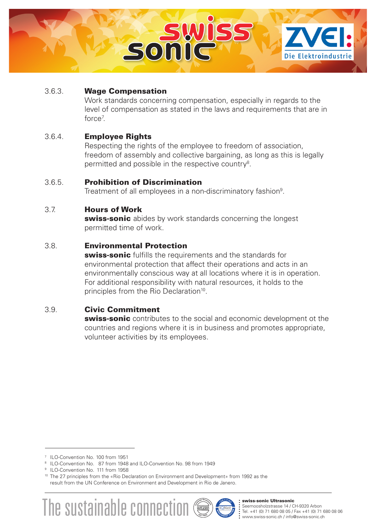

### 3.6.3. Wage Compensation

Work standards concerning compensation, especially in regards to the level of compensation as stated in the laws and requirements that are in force7 .

### 3.6.4. Employee Rights

Respecting the rights of the employee to freedom of association, freedom of assembly and collective bargaining, as long as this is legally permitted and possible in the respective country<sup>8</sup>.

### 3.6.5. Prohibition of Discrimination

Treatment of all employees in a non-discriminatory fashion<sup>9</sup>.

# 3.7. Hours of Work

swiss-sonic abides by work standards concerning the longest permitted time of work.

#### 3.8. Environmental Protection

swiss-sonic fulfills the requirements and the standards for environmental protection that affect their operations and acts in an environmentally conscious way at all locations where it is in operation. For additional responsibility with natural resources, it holds to the principles from the Rio Declaration<sup>10</sup>.

#### 3.9. Civic Commitment

**swiss-sonic** contributes to the social and economic development ot the countries and regions where it is in business and promotes appropriate, volunteer activities by its employees.

<sup>&</sup>lt;sup>10</sup> The 27 principles from the «Rio Declaration on Environment and Development» from 1992 as the result from the UN Conference on Environment and Development in Rio de Janero.





#### swiss-sonic Ultrasonic

Seemoosholzstrasse 14 / CH-9320 Arbon<br>Tel. +41 (0) 71 680 08 05 / Fax +41 (0) 71 680 08 06

<sup>&</sup>lt;sup>7</sup> ILO-Convention No. 100 from 1951

<sup>8</sup> ILO-Convention No. 87 from 1948 and ILO-Convention No. 98 from 1949

<sup>&</sup>lt;sup>9</sup> ILO-Convention No. 111 from 1958